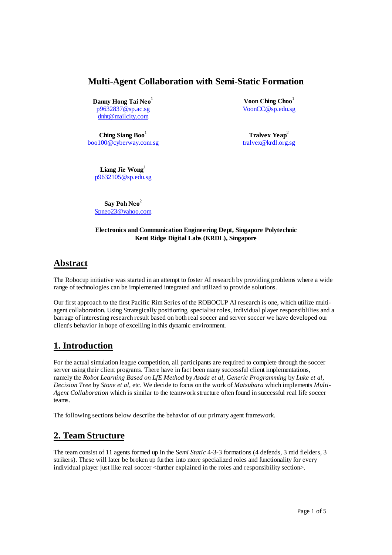### **Multi-Agent Collaboration with Semi-Static Formation**

**Danny Hong Tai Neo**<sup>1</sup> p9632837@sp.ac.sg dnht@mailcity.com

**Ching Siang Boo**<sup>1</sup> boo100@cyberway.com.sg

Voon Ching Choo<sup>1</sup> VoonCC@sp.edu.sg

**Tralvex Yeap<sup>2</sup>** tralvex@krdl.org.sg

Liang Jie Wong<sup>1</sup> p9632105@sp.edu.sg

**Say Poh Neo**<sup>2</sup> Spneo23@yahoo.com

#### **Electronics and Communication Engineering Dept, Singapore Polytechnic Kent Ridge Digital Labs (KRDL), Singapore**

## **Abstract**

The Robocup initiative was started in an attempt to foster AI research by providing problems where a wide range of technologies can be implemented integrated and utilized to provide solutions.

Our first approach to the first Pacific Rim Series of the ROBOCUP AI research is one, which utilize multiagent collaboration. Using Strategically positioning, specialist roles, individual player responsiblilies and a barrage of interesting research result based on both real soccer and server soccer we have developed our client's behavior in hope of excelling in this dynamic environment.

# **1. Introduction**

For the actual simulation league competition, all participants are required to complete through the soccer server using their client programs. There have in fact been many successful client implementations, namely the *Robot Learning Based on LfE Method* by *Asada et al*, *Generic Programming* by *Luke et al*, *Decision Tree* by *Stone et al*, etc. We decide to focus on the work of *Matsubara* which implements *Multi-Agent Collaboration* which is similar to the teamwork structure often found in successful real life soccer teams.

The following sections below describe the behavior of our primary agent framework.

# **2. Team Structure**

The team consist of 11 agents formed up in the S*emi Static* 4-3-3 formations (4 defends, 3 mid fielders, 3 strikers). These will later be broken up further into more specialized roles and functionality for every individual player just like real soccer <further explained in the roles and responsibility section>.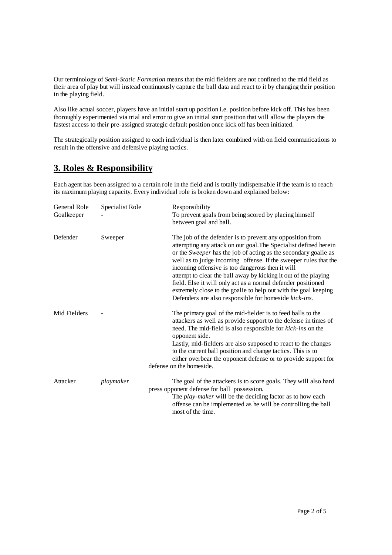Our terminology of *Semi-Static Formation* means that the mid fielders are not confined to the mid field as their area of play but will instead continuously capture the ball data and react to it by changing their position in the playing field.

Also like actual soccer, players have an initial start up position i.e. position before kick off. This has been thoroughly experimented via trial and error to give an initial start position that will allow the players the fastest access to their pre-assigned strategic default position once kick off has been initiated.

The strategically position assigned to each individual is then later combined with on field communications to result in the offensive and defensive playing tactics.

### **3. Roles & Responsibility**

Each agent has been assigned to a certain role in the field and is totally indispensable if the team is to reach its maximum playing capacity. Every individual role is broken down and explained below:

| General Role<br>Goalkeeper | <b>Specialist Role</b> | Responsibility<br>To prevent goals from being scored by placing himself<br>between goal and ball.                                                                                                                                                                                                                                                                                                                                                                                                                                                                                       |
|----------------------------|------------------------|-----------------------------------------------------------------------------------------------------------------------------------------------------------------------------------------------------------------------------------------------------------------------------------------------------------------------------------------------------------------------------------------------------------------------------------------------------------------------------------------------------------------------------------------------------------------------------------------|
| Defender                   | Sweeper                | The job of the defender is to prevent any opposition from<br>attempting any attack on our goal. The Specialist defined herein<br>or the Sweeper has the job of acting as the secondary goalie as<br>well as to judge incoming offense. If the sweeper rules that the<br>incoming offensive is too dangerous then it will<br>attempt to clear the ball away by kicking it out of the playing<br>field. Else it will only act as a normal defender positioned<br>extremely close to the goalie to help out with the goal keeping<br>Defenders are also responsible for homeside kick-ins. |
| Mid Fielders               |                        | The primary goal of the mid-fielder is to feed balls to the<br>attackers as well as provide support to the defense in times of<br>need. The mid-field is also responsible for kick-ins on the<br>opponent side.<br>Lastly, mid-fielders are also supposed to react to the changes<br>to the current ball position and change tactics. This is to<br>either overbear the opponent defense or to provide support for<br>defense on the homeside.                                                                                                                                          |
| Attacker                   | playmaker              | The goal of the attackers is to score goals. They will also hard<br>press opponent defense for ball possession.<br>The <i>play-maker</i> will be the deciding factor as to how each<br>offense can be implemented as he will be controlling the ball<br>most of the time.                                                                                                                                                                                                                                                                                                               |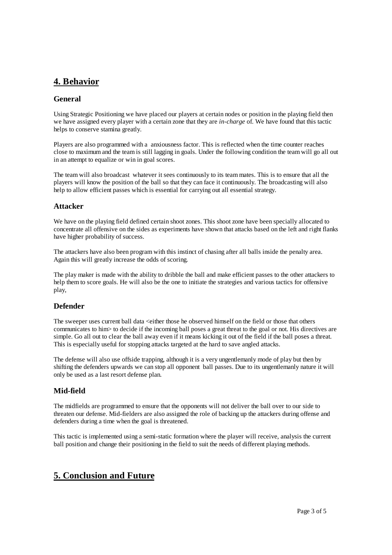# **4. Behavior**

### **General**

Using Strategic Positioning we have placed our players at certain nodes or position in the playing field then we have assigned every player with a certain zone that they are *in-charge* of. We have found that this tactic helps to conserve stamina greatly.

Players are also programmed with a anxiousness factor. This is reflected when the time counter reaches close to maximum and the team is still lagging in goals. Under the following condition the team will go all out in an attempt to equalize or win in goal scores.

The team will also broadcast whatever it sees continuously to its team mates. This is to ensure that all the players will know the position of the ball so that they can face it continuously. The broadcasting will also help to allow efficient passes which is essential for carrying out all essential strategy.

#### **Attacker**

We have on the playing field defined certain shoot zones. This shoot zone have been specially allocated to concentrate all offensive on the sides as experiments have shown that attacks based on the left and right flanks have higher probability of success.

The attackers have also been program with this instinct of chasing after all balls inside the penalty area. Again this will greatly increase the odds of scoring.

The play maker is made with the ability to dribble the ball and make efficient passes to the other attackers to help them to score goals. He will also be the one to initiate the strategies and various tactics for offensive play,

### **Defender**

The sweeper uses current ball data <either those he observed himself on the field or those that others communicates to him> to decide if the incoming ball poses a great threat to the goal or not. His directives are simple. Go all out to clear the ball away even if it means kicking it out of the field if the ball poses a threat. This is especially useful for stopping attacks targeted at the hard to save angled attacks.

The defense will also use offside trapping, although it is a very ungentlemanly mode of play but then by shifting the defenders upwards we can stop all opponent ball passes. Due to its ungentlemanly nature it will only be used as a last resort defense plan.

### **Mid-field**

The midfields are programmed to ensure that the opponents will not deliver the ball over to our side to threaten our defense. Mid-fielders are also assigned the role of backing up the attackers during offense and defenders during a time when the goal is threatened.

This tactic is implemented using a semi-static formation where the player will receive, analysis the current ball position and change their positioning in the field to suit the needs of different playing methods.

## **5. Conclusion and Future**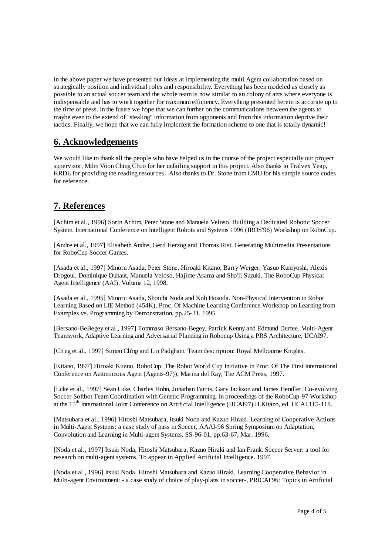In the above paper we have presented our ideas at implementing the multi Agent collaboration based on strategically position and individual roles and responsibility. Everything has been modeled as closely as possible to an actual soccer team and the whole team is now similar to an colony of ants where everyone is indispensable and has to work together for maximum efficiency. Everything presented herein is accurate up to the time of press. In the future we hope that we can further on the communications between the agents to maybe even to the extend of "stealing" information from opponents and from this information deprive their tactics. Finally, we hope that we can fully implement the formation scheme to one that is totally dynamic!

### **6. Acknowledgements**

We would like to thank all the people who have helped us in the course of the project especially our project supervisor, Mdm Voon Ching Choo for her unfailing support in this project. Also thanks to Tralvex Yeap, KRDL for providing the reading resources. Also thanks to Dr. Stone from CMU for his sample source codes for reference.

## **7. References**

[Achim et al., 1996] Sorin Achim, Peter Stone and Manuela Veloso. Building a Dedicated Robotic Soccer System. International Conference on Intelligent Robots and Systems 1996 (IROS'96) Workshop on RoboCup.

[Andre et al., 1997] Elisabeth Andre, Gerd Herzog and Thomas Rist. Generating Multimedia Presentations for RoboCup Soccer Games.

[Asada et al., 1997] Minoru Asada, Peter Stone, Hiroaki Kitano, Barry Werger, Yasuo Kuniyoshi, Alexis Drogoul, Dominique Duhaut, Manuela Veloso, Hajime Asama and Sho'ji Suzuki. The RoboCup Physical Agent Intelligence (AAI), Volume 12, 1998.

[Asada et al., 1995] Minoru Asada, Shoichi Noda and Koh Hosoda. Non-Physical Intervention in Robot Learning Based on LfE Method (454K). Proc. Of Machine Learning Conference Workshop on Learning from Examples vs. Programming by Demonstration, pp.25-31, 1995

[Bersano-BeBegey et al., 1997] Tommaso Bersano-Begey, Patrick Kenny and Edmund Durfee. Multi-Agent Teamwork, Adaptive Learning and Adversarial Planning in Robocup Using a PRS Architecture, IJCAI97.

[Ch'ng et al., 1997] Simon Ch'ng and Lin Padgham. Team description: Royal Melbourne Knights.

[Kitano, 1997] Hiroaki Kitano. RoboCup: The Robot World Cup Initiative in Proc. Of The First International Conference on Autonomous Agent (Agents-97)), Marina del Ray, The ACM Press, 1997.

[Luke et al., 1997] Sean Luke, Charles Hohn, Jonathan Farris, Gary Jackson and James Hendler. Co-evolving Soccer Softbot Team Coordination with Genetic Programming. In proceedings of the RoboCup-97 Workshop at the 15th International Joint Conference on Artificial Intelligence (IJCAI97).H.Kitano, ed. IJCAI.115-118.

[Matsubara et al., 1996] Hitoshi Matsubara, Itsuki Noda and Kazuo Hiraki. Learning of Cooperative Actions in Multi-Agent Systems: a case study of pass in Soccer, AAAI-96 Spring Symposium on Adaptation, Convolution and Learning in Multi-agent Systems, SS-96-01, pp.63-67, Mar. 1996.

[Noda et al., 1997] Itsuki Noda, Hitoshi Matsubara, Kazuo Hiraki and Ian Frank. Soccer Server: a tool for research on multi-agent systems. To appear in Applied Artificial Intelligence. 1997.

[Noda et al., 1996] Itsuki Noda, Hitoshi Matsubara and Kazuo Hiraki. Learning Cooperative Behavior in Multi-agent Environment: - a case study of choice of play-plans in soccer-, PRICAI'96: Topics in Artificial